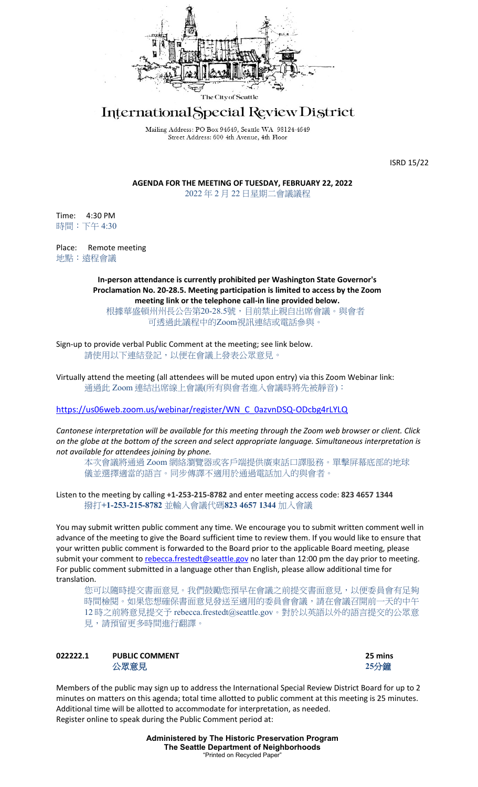

# International Special Review District

Mailing Address: PO Box 94649, Seattle WA 98124-4649 Street Address: 600 4th Avenue, 4th Floor

ISRD 15/22

**AGENDA FOR THE MEETING OF TUESDAY, FEBRUARY 22, 2022** 2022 年 2 月 22 日星期二會議議程

Time: 4:30 PM 時間:下午 4:30

Place: Remote meeting 地點:遠程會議

> **In-person attendance is currently prohibited per Washington State Governor's Proclamation No. 20-28.5. Meeting participation is limited to access by the Zoom meeting link or the telephone call-in line provided below.**

根據華盛頓州州長公告第20-28.5號,目前禁止親自出席會議。與會者 可透過此議程中的Zoom視訊連結或電話參與。

Sign-up to provide verbal Public Comment at the meeting; see link below. 請使用以下連結登記,以便在會議上發表公眾意見。

Virtually attend the meeting (all attendees will be muted upon entry) via this Zoom Webinar link: 通過此 Zoom 連結出席線上會議(所有與會者進入會議時將先被靜音):

[https://us06web.zoom.us/webinar/register/WN\\_C\\_0azvnDSQ-ODcbg4rLYLQ](https://us06web.zoom.us/webinar/register/WN_C_0azvnDSQ-ODcbg4rLYLQ)

*Cantonese interpretation will be available for this meeting through the Zoom web browser or client. Click on the globe at the bottom of the screen and select appropriate language. Simultaneous interpretation is not available for attendees joining by phone.*

本次會議將通過 Zoom 網絡瀏覽器或客戶端提供廣東話口譯服務。單擊屏幕底部的地球 儀並選擇適當的語言。同步傳譯不適用於通過電話加入的與會者。

Listen to the meeting by calling **+1-253-215-8782** and enter meeting access code: **823 4657 1344** 撥打**+1-253-215-8782** 並輸入會議代碼**823 4657 1344** 加入會議

You may submit written public comment any time. We encourage you to submit written comment well in advance of the meeting to give the Board sufficient time to review them. If you would like to ensure that your written public comment is forwarded to the Board prior to the applicable Board meeting, please submit your comment t[o rebecca.frestedt@seattle.gov](mailto:rebecca.frestedt@seattle.gov) no later than 12:00 pm the day prior to meeting. For public comment submitted in a language other than English, please allow additional time for translation.

您可以隨時提交書面意見。我們鼓勵您預早在會議之前提交書面意見,以便委員會有足夠 時間檢閱。如果您想確保書面意見發送至適用的委員會會議,請在會議召開前一天的中午 12 時之前將意見提交予 rebecca.frestedt@seattle.gov。對於以英語以外的語言提交的公眾意 見,請預留更多時間進行翻譯。

## **022222.1 PUBLIC COMMENT 25 mins** 公眾意見 **25**分鐘



Members of the public may sign up to address the International Special Review District Board for up to 2 minutes on matters on this agenda; total time allotted to public comment at this meeting is 25 minutes. Additional time will be allotted to accommodate for interpretation, as needed. Register online to speak during the Public Comment period at: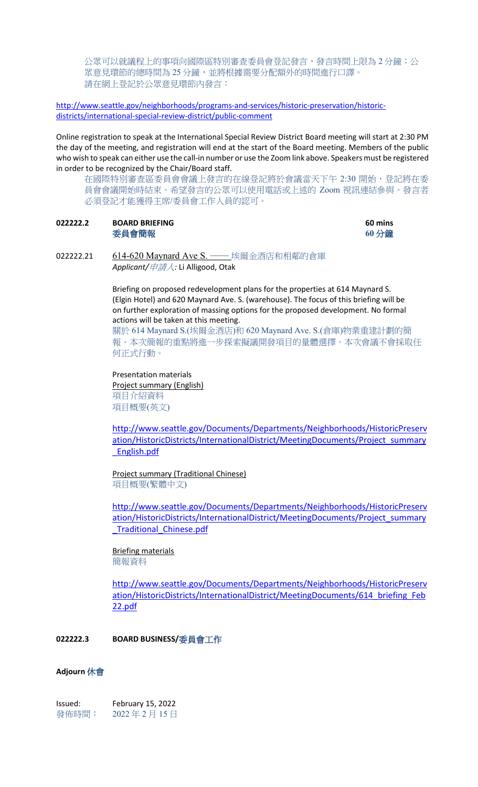公眾可以就議程上的事項向國際區特別審查委員會登記發言,發言時間上限為 2 分鐘;公 眾意見環節的總時間為 25 分鐘,並將根據需要分配額外的時間進行口譯。 請在網上登記於公眾意見環節內發言:

[http://www.seattle.gov/neighborhoods/programs-and-services/historic-preservation/historic](http://www.seattle.gov/neighborhoods/programs-and-services/historic-preservation/historic-districts/international-special-review-district/public-comment)[districts/international-special-review-district/public-comment](http://www.seattle.gov/neighborhoods/programs-and-services/historic-preservation/historic-districts/international-special-review-district/public-comment)

Online registration to speak at the International Special Review District Board meeting will start at 2:30 PM the day of the meeting, and registration will end at the start of the Board meeting. Members of the public who wish to speak can either use the call-in number or use the Zoom link above. Speakers must be registered in order to be recognized by the Chair/Board staff.

在國際特別審查區委員會會議上發言的在線登記將於會議當天下午 2:30 開始,登記將在委 員會會議開始時結束。希望發言的公眾可以使用電話或上述的 Zoom 視訊連結參與。發言者 必須登記才能獲得主席/委員會工作人員的認可。

**022222.2 BOARD BRIEFING 60 mins** 委員會簡報 **60** 分鐘

022222.21 614-620 Maynard Ave S. - 埃爾金酒店和相鄰的倉庫 *Applicant/*申請人*:* Li Alligood, Otak

> Briefing on proposed redevelopment plans for the properties at 614 Maynard S. (Elgin Hotel) and 620 Maynard Ave. S. (warehouse). The focus of this briefing will be on further exploration of massing options for the proposed development. No formal actions will be taken at this meeting.

關於 614 Maynard S.(埃爾金酒店)和 620 Maynard Ave. S.(倉庫)物業重建計劃的簡 報。本次簡報的重點將進一步探索擬議開發項目的量體選擇。本次會議不會採取任 何正式行動。

Presentation materials Project summary (English) 項目介紹資料 項目概要(英文)

[http://www.seattle.gov/Documents/Departments/Neighborhoods/HistoricPreserv](http://www.seattle.gov/Documents/Departments/Neighborhoods/HistoricPreservation/HistoricDistricts/InternationalDistrict/MeetingDocuments/Project_summary_English.pdf) [ation/HistoricDistricts/InternationalDistrict/MeetingDocuments/Project\\_summary](http://www.seattle.gov/Documents/Departments/Neighborhoods/HistoricPreservation/HistoricDistricts/InternationalDistrict/MeetingDocuments/Project_summary_English.pdf) [\\_English.pdf](http://www.seattle.gov/Documents/Departments/Neighborhoods/HistoricPreservation/HistoricDistricts/InternationalDistrict/MeetingDocuments/Project_summary_English.pdf)

Project summary (Traditional Chinese) 項目概要(繁體中文)

[http://www.seattle.gov/Documents/Departments/Neighborhoods/HistoricPreserv](http://www.seattle.gov/Documents/Departments/Neighborhoods/HistoricPreservation/HistoricDistricts/InternationalDistrict/MeetingDocuments/Project_summary_Traditional_Chinese.pdf) [ation/HistoricDistricts/InternationalDistrict/MeetingDocuments/Project\\_summary](http://www.seattle.gov/Documents/Departments/Neighborhoods/HistoricPreservation/HistoricDistricts/InternationalDistrict/MeetingDocuments/Project_summary_Traditional_Chinese.pdf) [\\_Traditional\\_Chinese.pdf](http://www.seattle.gov/Documents/Departments/Neighborhoods/HistoricPreservation/HistoricDistricts/InternationalDistrict/MeetingDocuments/Project_summary_Traditional_Chinese.pdf)

Briefing materials 簡報資料

[http://www.seattle.gov/Documents/Departments/Neighborhoods/HistoricPreserv](http://www.seattle.gov/Documents/Departments/Neighborhoods/HistoricPreservation/HistoricDistricts/InternationalDistrict/MeetingDocuments/614_briefing_Feb22.pdf) [ation/HistoricDistricts/InternationalDistrict/MeetingDocuments/614\\_briefing\\_Feb](http://www.seattle.gov/Documents/Departments/Neighborhoods/HistoricPreservation/HistoricDistricts/InternationalDistrict/MeetingDocuments/614_briefing_Feb22.pdf) [22.pdf](http://www.seattle.gov/Documents/Departments/Neighborhoods/HistoricPreservation/HistoricDistricts/InternationalDistrict/MeetingDocuments/614_briefing_Feb22.pdf)

## **022222.3 BOARD BUSINESS/**委員會工作

#### **Adjourn** 休會

Issued: February 15, 2022 發佈時間: 2022 年 2 月 15 日